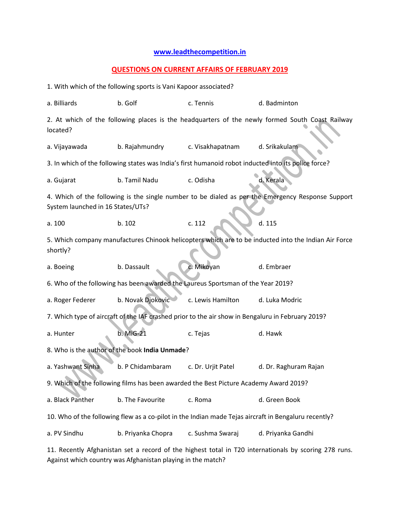## **[www.leadthecompetition.in](http://www.leadthecompetition.in/)**

## **QUESTIONS ON CURRENT AFFAIRS OF FEBRUARY 2019**

1. With which of the following sports is Vani Kapoor associated? a. Billiards b. Golf c. Tennis d. Badminton 2. At which of the following places is the headquarters of the newly formed South Coast Railway located? a. Vijayawada b. Rajahmundry c. Visakhapatnam d. Srikakulam 3. In which of the following states was India's first humanoid robot inducted into its police force? a. Gujarat b. Tamil Nadu c. Odisha d. Kerala 4. Which of the following is the single number to be dialed as per the Emergency Response Support System launched in 16 States/UTs? a. 100 b. 102 c. 112 d. 115 5. Which company manufactures Chinook helicopters which are to be inducted into the Indian Air Force shortly? a. Boeing b. Dassault c. Mikoyan d. Embraer 6. Who of the following has been awarded the Laureus Sportsman of the Year 2019? a. Roger Federer b. Novak Djokovic c. Lewis Hamilton d. Luka Modric 7. Which type of aircraft of the IAF crashed prior to the air show in Bengaluru in February 2019? a. Hunter b. MiG-21 c. Tejas d. Hawk 8. Who is the author of the book **India Unmade**? a. Yashwant Sinha b. P Chidambaram c. Dr. Urjit Patel d. Dr. Raghuram Rajan 9. Which of the following films has been awarded the Best Picture Academy Award 2019? a. Black Panther b. The Favourite c. Roma d. Green Book 10. Who of the following flew as a co-pilot in the Indian made Tejas aircraft in Bengaluru recently? a. PV Sindhu b. Priyanka Chopra c. Sushma Swaraj d. Priyanka Gandhi 11. Recently Afghanistan set a record of the highest total in T20 internationals by scoring 278 runs.

Against which country was Afghanistan playing in the match?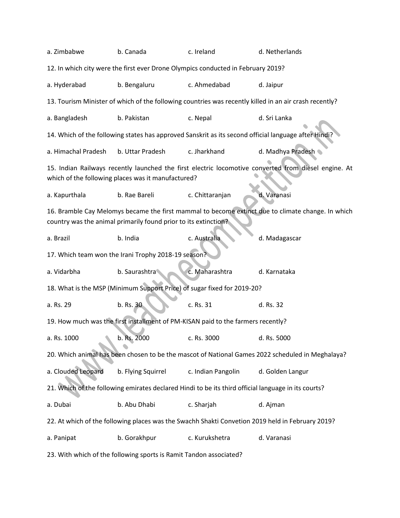| a. Zimbabwe                                                                                                                                                | b. Canada                                                       | c. Ireland         | d. Netherlands                                                                                    |  |  |  |  |
|------------------------------------------------------------------------------------------------------------------------------------------------------------|-----------------------------------------------------------------|--------------------|---------------------------------------------------------------------------------------------------|--|--|--|--|
| 12. In which city were the first ever Drone Olympics conducted in February 2019?                                                                           |                                                                 |                    |                                                                                                   |  |  |  |  |
| a. Hyderabad                                                                                                                                               | b. Bengaluru                                                    | c. Ahmedabad       | d. Jaipur                                                                                         |  |  |  |  |
| 13. Tourism Minister of which of the following countries was recently killed in an air crash recently?                                                     |                                                                 |                    |                                                                                                   |  |  |  |  |
| a. Bangladesh                                                                                                                                              | b. Pakistan                                                     | c. Nepal           | d. Sri Lanka                                                                                      |  |  |  |  |
| 14. Which of the following states has approved Sanskrit as its second official language after Hindi?                                                       |                                                                 |                    |                                                                                                   |  |  |  |  |
| a. Himachal Pradesh                                                                                                                                        | b. Uttar Pradesh                                                | c. Jharkhand       | d. Madhya Pradesh                                                                                 |  |  |  |  |
| 15. Indian Railways recently launched the first electric locomotive converted from diesel engine. At<br>which of the following places was it manufactured? |                                                                 |                    |                                                                                                   |  |  |  |  |
| a. Kapurthala                                                                                                                                              | b. Rae Bareli                                                   | c. Chittaranjan    | d. Varanasi                                                                                       |  |  |  |  |
|                                                                                                                                                            |                                                                 |                    | 16. Bramble Cay Melomys became the first mammal to become extinct due to climate change. In which |  |  |  |  |
|                                                                                                                                                            | country was the animal primarily found prior to its extinction? |                    |                                                                                                   |  |  |  |  |
| a. Brazil                                                                                                                                                  | b. India                                                        | c. Australia       | d. Madagascar                                                                                     |  |  |  |  |
| 17. Which team won the Irani Trophy 2018-19 season?                                                                                                        |                                                                 |                    |                                                                                                   |  |  |  |  |
| a. Vidarbha                                                                                                                                                | b. Saurashtra                                                   | c. Maharashtra     | d. Karnataka                                                                                      |  |  |  |  |
| 18. What is the MSP (Minimum Support Price) of sugar fixed for 2019-20?                                                                                    |                                                                 |                    |                                                                                                   |  |  |  |  |
| a. Rs. 29                                                                                                                                                  | b. Rs. 30                                                       | c. Rs. 31          | d. Rs. 32                                                                                         |  |  |  |  |
| 19. How much was the first installment of PM-KISAN paid to the farmers recently?                                                                           |                                                                 |                    |                                                                                                   |  |  |  |  |
| a. Rs. 1000                                                                                                                                                | b. Rs. 2000                                                     | c. Rs. 3000        | d. Rs. 5000                                                                                       |  |  |  |  |
| 20. Which animal has been chosen to be the mascot of National Games 2022 scheduled in Meghalaya?                                                           |                                                                 |                    |                                                                                                   |  |  |  |  |
| a. Clouded Leopard                                                                                                                                         | b. Flying Squirrel                                              | c. Indian Pangolin | d. Golden Langur                                                                                  |  |  |  |  |
| 21. Which of the following emirates declared Hindi to be its third official language in its courts?                                                        |                                                                 |                    |                                                                                                   |  |  |  |  |
| a. Dubai                                                                                                                                                   | b. Abu Dhabi                                                    | c. Sharjah         | d. Ajman                                                                                          |  |  |  |  |
|                                                                                                                                                            |                                                                 |                    | 22. At which of the following places was the Swachh Shakti Convetion 2019 held in February 2019?  |  |  |  |  |
| a. Panipat                                                                                                                                                 | b. Gorakhpur                                                    | c. Kurukshetra     | d. Varanasi                                                                                       |  |  |  |  |
| 23. With which of the following sports is Ramit Tandon associated?                                                                                         |                                                                 |                    |                                                                                                   |  |  |  |  |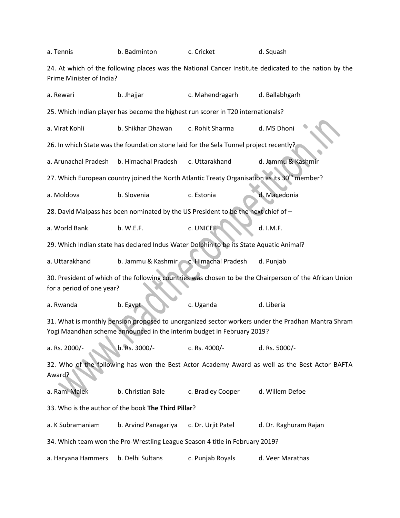| a. Tennis                                                                                                                                                                   | b. Badminton                           | c. Cricket         | d. Squash             |  |  |  |  |
|-----------------------------------------------------------------------------------------------------------------------------------------------------------------------------|----------------------------------------|--------------------|-----------------------|--|--|--|--|
| 24. At which of the following places was the National Cancer Institute dedicated to the nation by the<br>Prime Minister of India?                                           |                                        |                    |                       |  |  |  |  |
| a. Rewari                                                                                                                                                                   | b. Jhajjar                             | c. Mahendragarh    | d. Ballabhgarh        |  |  |  |  |
| 25. Which Indian player has become the highest run scorer in T20 internationals?                                                                                            |                                        |                    |                       |  |  |  |  |
| a. Virat Kohli                                                                                                                                                              | b. Shikhar Dhawan                      | c. Rohit Sharma    | d. MS Dhoni           |  |  |  |  |
| 26. In which State was the foundation stone laid for the Sela Tunnel project recently?                                                                                      |                                        |                    |                       |  |  |  |  |
| a. Arunachal Pradesh                                                                                                                                                        | b. Himachal Pradesh                    | c. Uttarakhand     | d. Jammu & Kashmir    |  |  |  |  |
| 27. Which European country joined the North Atlantic Treaty Organisation as its 30 <sup>th</sup> member?                                                                    |                                        |                    |                       |  |  |  |  |
| a. Moldova                                                                                                                                                                  | b. Slovenia                            | c. Estonia         | d. Macedonia          |  |  |  |  |
| 28. David Malpass has been nominated by the US President to be the next chief of -                                                                                          |                                        |                    |                       |  |  |  |  |
| a. World Bank                                                                                                                                                               | b. W.E.F.                              | c. UNICEF          | d. I.M.F.             |  |  |  |  |
| 29. Which Indian state has declared Indus Water Dolphin to be its State Aquatic Animal?                                                                                     |                                        |                    |                       |  |  |  |  |
| a. Uttarakhand                                                                                                                                                              | b. Jammu & Kashmir c. Himachal Pradesh |                    | d. Punjab             |  |  |  |  |
| 30. President of which of the following countries was chosen to be the Chairperson of the African Union<br>for a period of one year?                                        |                                        |                    |                       |  |  |  |  |
| a. Rwanda                                                                                                                                                                   | b. Egypt                               | c. Uganda          | d. Liberia            |  |  |  |  |
| 31. What is monthly pension proposed to unorganized sector workers under the Pradhan Mantra Shram<br>Yogi Maandhan scheme announced in the interim budget in February 2019? |                                        |                    |                       |  |  |  |  |
| a. Rs. 2000/-                                                                                                                                                               | b. Rs. 3000/-                          | c. Rs. 4000/-      | d. Rs. 5000/-         |  |  |  |  |
| 32. Who of the following has won the Best Actor Academy Award as well as the Best Actor BAFTA<br>Award?                                                                     |                                        |                    |                       |  |  |  |  |
| a. Rami Malek                                                                                                                                                               | b. Christian Bale                      | c. Bradley Cooper  | d. Willem Defoe       |  |  |  |  |
| 33. Who is the author of the book The Third Pillar?                                                                                                                         |                                        |                    |                       |  |  |  |  |
| a. K Subramaniam                                                                                                                                                            | b. Arvind Panagariya                   | c. Dr. Urjit Patel | d. Dr. Raghuram Rajan |  |  |  |  |
| 34. Which team won the Pro-Wrestling League Season 4 title in February 2019?                                                                                                |                                        |                    |                       |  |  |  |  |
| a. Haryana Hammers                                                                                                                                                          | b. Delhi Sultans                       | c. Punjab Royals   | d. Veer Marathas      |  |  |  |  |